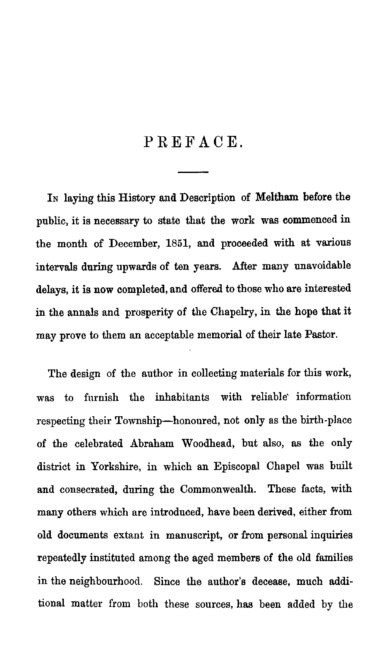## PREFACE.

**IN** laying this History and Description of Meltham before the public, it is necessary to state that the work was commenced in the month of December, 1851, and proceeded with at various intervals during upwards of ten years. After many unavoidable delays, it is now completed, and offered to those who are interested in the annals and prosperity of the Chapelry, in the hope that it may prove to them an acceptable memorial of their late Pastor.

The design of the author in collecting materials for this work, was to furnish the inhabitants with reliable information respecting their Township—honoured, not only as the birth-place of the celebrated Abraham Woodhead, but also, as the only district in Yorkshire, in which an Episcopal Chapel was built and consecrated, during the Commonwealth. These facts, with many others which are introduced, have been derived, either from old documents extant in manuscript, or from personal inquiries repeatedly instituted among the aged members of the old families in the neighbourhood. Since the author's decease, much additional matter from both these sources, has been added by the